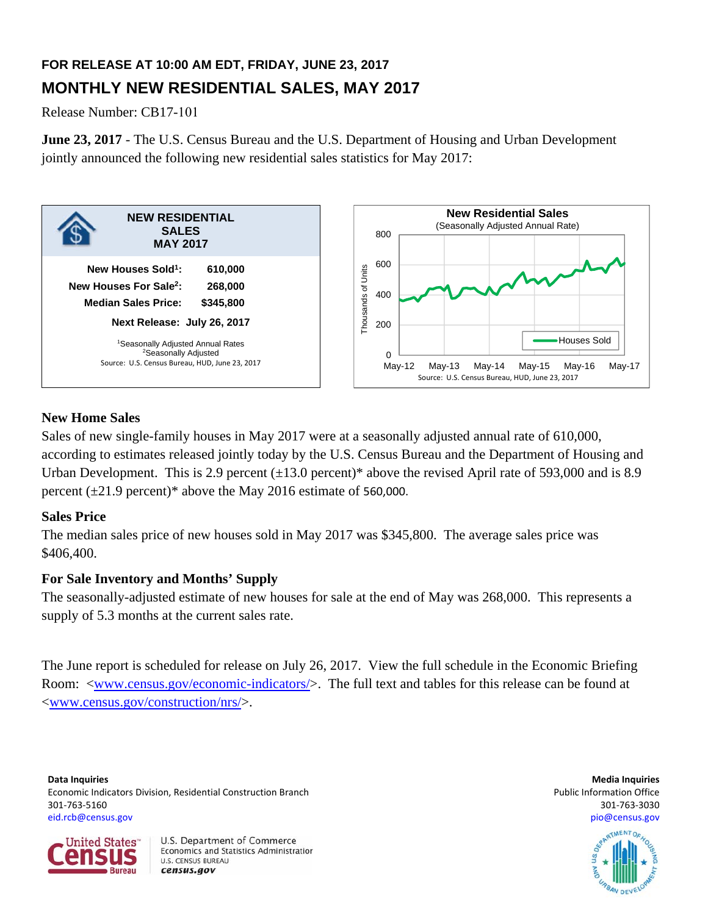# **FOR RELEASE AT 10:00 AM EDT, FRIDAY, JUNE 23, 2017 MONTHLY NEW RESIDENTIAL SALES, MAY 2017**

Release Number: CB17-101

**June 23, 2017** - The U.S. Census Bureau and the U.S. Department of Housing and Urban Development jointly announced the following new residential sales statistics for May 2017:



# **New Home Sales**

Sales of new single-family houses in May 2017 were at a seasonally adjusted annual rate of 610,000, according to estimates released jointly today by the U.S. Census Bureau and the Department of Housing and Urban Development. This is 2.9 percent  $(\pm 13.0 \text{ percent})^*$  above the revised April rate of 593,000 and is 8.9 percent  $(\pm 21.9 \text{ percent})^*$  above the May 2016 estimate of 560,000.

# **Sales Price**

The median sales price of new houses sold in May 2017 was \$345,800. The average sales price was \$406,400.

# **For Sale Inventory and Months' Supply**

The seasonally-adjusted estimate of new houses for sale at the end of May was 268,000. This represents a supply of 5.3 months at the current sales rate.

The June report is scheduled for release on July 26, 2017. View the full schedule in the Economic Briefing Room: <www.census.gov/economic-indicators/>. The full text and tables for this release can be found at <www.census.gov/construction/nrs/>.

**Data Inquiries Media Inquiries** Economic Indicators Division, Residential Construction Branch **Public Information Construction Branch** Public Information Office 301‐763‐5160 301‐763‐3030 eid.rcb@census.gov pio@census.gov



U.S. Department of Commerce Economics and Statistics Administration **U.S. CENSUS BUREAU** census.gov



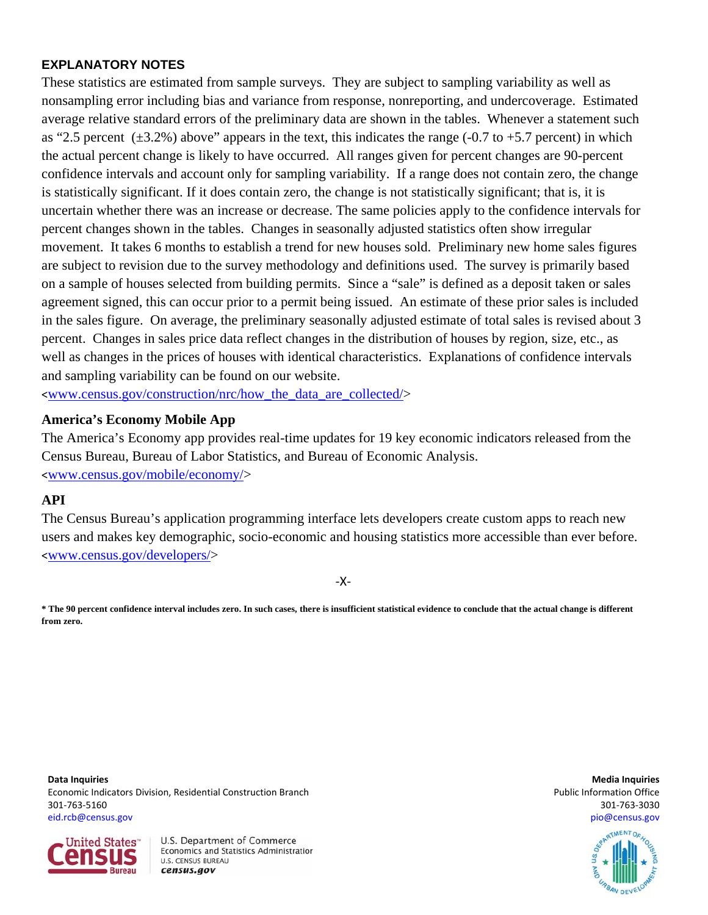# **EXPLANATORY NOTES**

These statistics are estimated from sample surveys. They are subject to sampling variability as well as nonsampling error including bias and variance from response, nonreporting, and undercoverage. Estimated average relative standard errors of the preliminary data are shown in the tables. Whenever a statement such as "2.5 percent  $(\pm 3.2\%)$  above" appears in the text, this indicates the range (-0.7 to +5.7 percent) in which the actual percent change is likely to have occurred. All ranges given for percent changes are 90-percent confidence intervals and account only for sampling variability. If a range does not contain zero, the change is statistically significant. If it does contain zero, the change is not statistically significant; that is, it is uncertain whether there was an increase or decrease. The same policies apply to the confidence intervals for percent changes shown in the tables. Changes in seasonally adjusted statistics often show irregular movement. It takes 6 months to establish a trend for new houses sold. Preliminary new home sales figures are subject to revision due to the survey methodology and definitions used. The survey is primarily based on a sample of houses selected from building permits. Since a "sale" is defined as a deposit taken or sales agreement signed, this can occur prior to a permit being issued. An estimate of these prior sales is included in the sales figure. On average, the preliminary seasonally adjusted estimate of total sales is revised about 3 percent. Changes in sales price data reflect changes in the distribution of houses by region, size, etc., as well as changes in the prices of houses with identical characteristics. Explanations of confidence intervals and sampling variability can be found on our website.

<www.census.gov/construction/nrc/how\_the\_data\_are\_collected/>

# **America's Economy Mobile App**

The America's Economy app provides real-time updates for 19 key economic indicators released from the Census Bureau, Bureau of Labor Statistics, and Bureau of Economic Analysis. <www.census.gov/mobile/economy/>

# **API**

The Census Bureau's application programming interface lets developers create custom apps to reach new users and makes key demographic, socio-economic and housing statistics more accessible than ever before. <www.census.gov/developers/>

‐X‐

**\* The 90 percent confidence interval includes zero. In such cases, there is insufficient statistical evidence to conclude that the actual change is different from zero.**

**Data Inquiries Media Inquiries** Economic Indicators Division, Residential Construction Branch **Public Information Construction Branch** Public Information Office 301‐763‐5160 301‐763‐3030 eid.rcb@census.gov pio@census.gov



U.S. Department of Commerce Economics and Statistics Administration **U.S. CENSUS BUREAU** census.gov

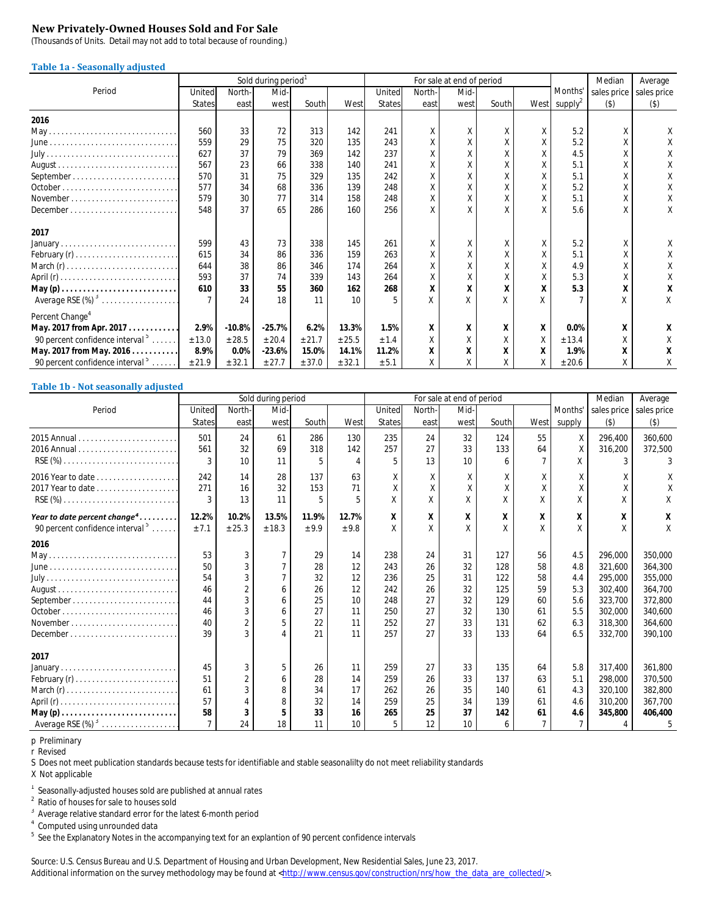### **New Privately-Owned Houses Sold and For Sale**

(Thousands of Units. Detail may not add to total because of rounding.)

#### **Table 1a - Seasonally adjusted**

|                                                                  |               |          | Sold during period <sup>1</sup> |        |        |               |        | For sale at end of period |       |   |                          | Median      | Average     |
|------------------------------------------------------------------|---------------|----------|---------------------------------|--------|--------|---------------|--------|---------------------------|-------|---|--------------------------|-------------|-------------|
| Period                                                           | United        | North-   | Mid-                            |        |        | United        | North- | Mid-                      |       |   | Months'                  | sales price | sales price |
|                                                                  | <b>States</b> | east     | west                            | South  | West   | <b>States</b> | east   | west                      | South |   | West supply <sup>2</sup> | $($ \$)     | $($ \$)     |
| 2016                                                             |               |          |                                 |        |        |               |        |                           |       |   |                          |             |             |
|                                                                  | 560           | 33       | 72                              | 313    | 142    | 241           | X      | Χ                         | Χ     | Χ | 5.2                      | Χ           | Χ           |
|                                                                  | 559           | 29       | 75                              | 320    | 135    | 243           | Χ      | Χ                         |       |   | 5.2                      |             |             |
|                                                                  | 627           | 37       | 79                              | 369    | 142    | 237           | χ      | X                         |       |   | 4.5                      |             |             |
|                                                                  | 567           | 23       | 66                              | 338    | 140    | 241           | χ      | X                         |       |   | 5.1                      |             |             |
|                                                                  | 570           | 31       | 75                              | 329    | 135    | 242           | X      | Χ                         |       | X | 5.1                      |             |             |
| October.                                                         | 577           | 34       | 68                              | 336    | 139    | 248           | Χ      | X                         |       | X | 5.2                      |             |             |
|                                                                  | 579           | 30       | 77                              | 314    | 158    | 248           | Χ      | Χ                         |       | X | 5.1                      |             |             |
| $December \dots \dots \dots \dots \dots \dots \dots \dots \dots$ | 548           | 37       | 65                              | 286    | 160    | 256           | X      | Χ                         |       | X | 5.6                      | Χ           | Χ           |
| 2017                                                             |               |          |                                 |        |        |               |        |                           |       |   |                          |             |             |
| January                                                          | 599           | 43       | 73                              | 338    | 145    | 261           | Χ      | Χ                         |       | X | 5.2                      | Χ           |             |
|                                                                  | 615           | 34       | 86                              | 336    | 159    | 263           | Χ      | Χ                         |       | Χ | 5.1                      | Χ           |             |
| March $(r)$                                                      | 644           | 38       | 86                              | 346    | 174    | 264           | X      | Χ                         |       |   | 4.9                      |             |             |
|                                                                  | 593           | 37       | 74                              | 339    | 143    | 264           | Χ      | Χ                         |       |   | 5.3                      |             |             |
|                                                                  | 610           | 33       | 55                              | 360    | 162    | 268           | X      | X                         | X     |   | 5.3                      | X           | x           |
| Average RSE $(\%)$ <sup>3</sup>                                  |               | 24       | 18                              | 11     | 10     | 5             | X      | X                         |       |   |                          |             | Χ           |
| Percent Change <sup>4</sup>                                      |               |          |                                 |        |        |               |        |                           |       |   |                          |             |             |
| May. 2017 from Apr. 2017.                                        | 2.9%          | $-10.8%$ | $-25.7%$                        | 6.2%   | 13.3%  | 1.5%          | X      | x                         | Х     | Х | 0.0%                     | X           |             |
| 90 percent confidence interval <sup>5</sup>                      | ± 13.0        | ± 28.5   | ± 20.4                          | ± 21.7 | ± 25.5 | ± 1.4         | Χ      | Χ                         | Χ     | Χ | ± 13.4                   | X           |             |
| May. 2017 from May. 2016.                                        | 8.9%          | 0.0%     | $-23.6%$                        | 15.0%  | 14.1%  | 11.2%         | х      | Х                         | Х     | Х | 1.9%                     | Х           |             |
| 90 percent confidence interval $\frac{5}{2}$                     | ± 21.9        | ± 32.1   | ± 27.7                          | ± 37.0 | ± 32.1 | ± 5.1         | Χ      | Χ                         |       | X | ± 20.6                   | Χ           | Х           |

#### **Table 1b - Not seasonally adjusted**

|                                                                                |                |                | Sold during period |       |                          |               |        | For sale at end of period |       |                |                | Median         | Average     |
|--------------------------------------------------------------------------------|----------------|----------------|--------------------|-------|--------------------------|---------------|--------|---------------------------|-------|----------------|----------------|----------------|-------------|
| Period                                                                         | United         | North-         | Mid-               |       |                          | United        | North- | Mid-                      |       |                | Months'        | sales price    | sales price |
|                                                                                | <b>States</b>  | east           | west               | South | West                     | <b>States</b> | east   | west                      | South | West           | supply         | $($ \$)        | $($ \$)     |
|                                                                                | 501            | 24             | 61                 | 286   | 130                      | 235           | 24     | 32                        | 124   | 55             | X              | 296,400        | 360,600     |
|                                                                                | 561            | 32             | 69                 | 318   | 142                      | 257           | 27     | 33                        | 133   | 64             | X              | 316,200        | 372,500     |
|                                                                                | 3              | 10             | 11                 |       | $\overline{\mathcal{A}}$ | 5             | 13     | 10                        | 6     |                |                | $\overline{3}$ |             |
|                                                                                | 242            | 14             | 28                 | 137   | 63                       | Χ             | Χ      | Χ                         | Χ     | X              | Χ              | Χ              |             |
|                                                                                | 271            | 16             | 32                 | 153   | 71                       |               | X      | X                         |       |                |                |                |             |
|                                                                                | 3              | 13             | 11                 |       | 5                        | $\chi$        | X      | X                         | Χ     | X              |                | X              |             |
| Year to date percent change <sup>4</sup>                                       | 12.2%          | 10.2%          | 13.5%              | 11.9% | 12.7%                    | X             | X      | X                         | X     | X              | х              | Х              | x           |
| 90 percent confidence interval <sup>5</sup>                                    | ± 7.1          | ± 25.3         | ± 18.3             | ± 9.9 | ± 9.8                    | X             | X      | Χ                         |       | Χ              |                |                | Χ           |
| 2016                                                                           |                |                |                    |       |                          |               |        |                           |       |                |                |                |             |
|                                                                                | 53             | 3              |                    | 29    | 14                       | 238           | 24     | 31                        | 127   | 56             | 4.5            | 296,000        | 350,000     |
| $June \dots \dots \dots \dots \dots \dots \dots \dots \dots \dots \dots \dots$ | 50             | $\overline{3}$ |                    | 28    | 12                       | 243           | 26     | 32                        | 128   | 58             | 4.8            | 321,600        | 364,300     |
|                                                                                | 54             | 3              |                    | 32    | 12                       | 236           | 25     | 31                        | 122   | 58             | 4.4            | 295,000        | 355,000     |
|                                                                                | 46             | $\overline{2}$ |                    | 26    | 12                       | 242           | 26     | 32                        | 125   | 59             | 5.3            | 302,400        | 364,700     |
|                                                                                | 44             | $\overline{3}$ | h                  | 25    | 10                       | 248           | 27     | 32                        | 129   | 60             | 5.6            | 323,700        | 372,800     |
|                                                                                | 46             | 3              |                    | 27    | 11                       | 250           | 27     | 32                        | 130   | 61             | 5.5            | 302,000        | 340,600     |
| November                                                                       | 40             | $\overline{a}$ | 5                  | 22    | 11                       | 252           | 27     | 33                        | 131   | 62             | 6.3            | 318,300        | 364,600     |
| December                                                                       | 39             | $\mathbf{3}$   |                    | 21    | 11                       | 257           | 27     | 33                        | 133   | 64             | 6.5            | 332,700        | 390,100     |
| 2017                                                                           |                |                |                    |       |                          |               |        |                           |       |                |                |                |             |
| January                                                                        | 45             | 3              | 5                  | 26    | 11                       | 259           | 27     | 33                        | 135   | 64             | 5.8            | 317.400        | 361,800     |
|                                                                                | 51             | $\overline{2}$ | 6                  | 28    | 14                       | 259           | 26     | 33                        | 137   | 63             | 5.1            | 298.000        | 370,500     |
| March $(r)$                                                                    | 61             | 3              | 8                  | 34    | 17                       | 262           | 26     | 35                        | 140   | 61             | 4.3            | 320.100        | 382,800     |
|                                                                                | 57             |                | 8                  | 32    | 14                       | 259           | 25     | 34                        | 139   | 61             | 4.6            | 310.200        | 367,700     |
|                                                                                | 58             |                |                    | 33    | 16                       | 265           | 25     | 37                        | 142   | 61             | 4.6            | 345,800        | 406,400     |
| Average RSE $(\%)^3$                                                           | $\overline{7}$ | 24             | 18                 | 11    | 10                       | 5             | 12     | 10                        | 6     | $\overline{7}$ | $\overline{7}$ | 4              | 5           |

p Preliminary

r Revised

S Does not meet publication standards because tests for identifiable and stable seasonalilty do not meet reliability standards

X Not applicable

<sup>1</sup> Seasonally-adjusted houses sold are published at annual rates

<sup>2</sup> Ratio of houses for sale to houses sold

<sup>3</sup> Average relative standard error for the latest 6-month period

<sup>4</sup> Computed using unrounded data

<sup>5</sup> See the Explanatory Notes in the accompanying text for an explantion of 90 percent confidence intervals

Source: U.S. Census Bureau and U.S. Department of Housing and Urban Development, New Residential Sales, June 23, 2017. Additional information on the survey methodology may be found at <http://www.census.gov/construction/nrs/how\_the\_data\_are\_collected/>.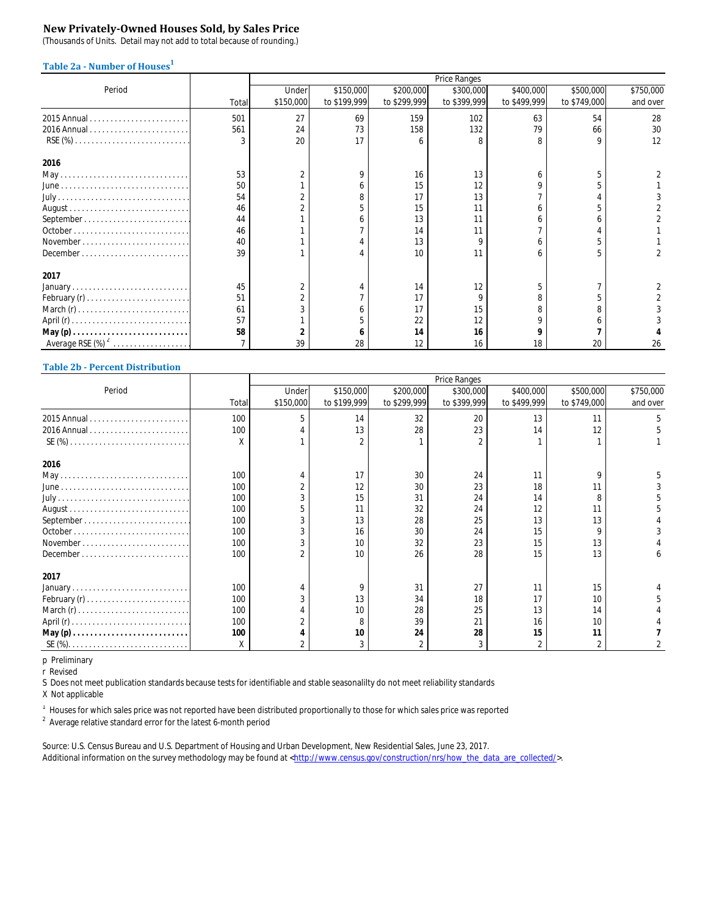### **New Privately-Owned Houses Sold, by Sales Price**

(Thousands of Units. Detail may not add to total because of rounding.)

### **Table 2a - Number of Houses<sup>1</sup>**

|                                                                  |       |           |              |              | Price Ranges |              |              |           |
|------------------------------------------------------------------|-------|-----------|--------------|--------------|--------------|--------------|--------------|-----------|
| Period                                                           |       | Under     | \$150,000    | \$200,000    | \$300,000    | \$400,000    | \$500,000    | \$750,000 |
|                                                                  | Total | \$150,000 | to \$199,999 | to \$299,999 | to \$399,999 | to \$499,999 | to \$749,000 | and over  |
|                                                                  | 501   | 27        | 69           | 159          | 102          | 63           | 54           | 28        |
|                                                                  | 561   | 24        | 73           | 158          | 132          | 79           | 66           | 30        |
| $RSE(%)$                                                         |       | 20        | 17           |              |              |              | o            | 12        |
| 2016                                                             |       |           |              |              |              |              |              |           |
|                                                                  | 53    |           | 9            | 16           | 13           |              |              |           |
|                                                                  | 50    |           | h.           | 15           | 12           |              |              |           |
|                                                                  | 54    |           |              | 17           | 13           |              |              |           |
|                                                                  | 46    |           |              | 15           | 11           |              |              |           |
|                                                                  | 44    |           |              | 13           | 11           |              |              |           |
|                                                                  | 46    |           |              | 14           | 11           |              |              |           |
| November                                                         | 40    |           |              | 13           |              |              |              |           |
| $December \dots \dots \dots \dots \dots \dots \dots \dots \dots$ | 39    |           |              | 10           | 11           |              |              |           |
| 2017                                                             |       |           |              |              |              |              |              |           |
|                                                                  | 45    |           |              | 14           | 12           |              |              |           |
|                                                                  | 51    |           |              |              |              |              |              |           |
|                                                                  | 61    |           |              | 17           | 15           |              |              |           |
|                                                                  | 57    |           |              | 22           | 12           |              |              |           |
|                                                                  | 58    |           |              | 14           | 16           |              |              |           |
| Average RSE $(\%)^2$                                             |       | 39        | 28           |              | 16           | 18           | 20           | 26        |

### **Table 2b - Percent Distribution**

|        |       |           |              |              | Price Ranges |              |              |           |
|--------|-------|-----------|--------------|--------------|--------------|--------------|--------------|-----------|
| Period |       | Under     | \$150,000    | \$200,000    | \$300,000    | \$400,000    | \$500,000    | \$750,000 |
|        | Total | \$150,000 | to \$199,999 | to \$299,999 | to \$399,999 | to \$499,999 | to \$749,000 | and over  |
|        | 100   | 5         | 14           | 32           | 20           | 13           | 11           |           |
|        | 100   |           | 13           | 28           | 23           | 14           | 12           |           |
|        | X     |           |              |              |              |              |              |           |
| 2016   |       |           |              |              |              |              |              |           |
|        | 100   |           | 17           | 30           | 24           | 11           | Ω            |           |
|        | 100   |           | 12           | 30           | 23           | 18           | 11           |           |
|        | 100   |           | 15           | 31           | 24           | 14           |              |           |
|        | 100   |           | 11           | 32           | 24           | 12           | 11           |           |
|        | 100   |           | 13           | 28           | 25           | 13           | 13           |           |
|        | 100   |           | 16           | 30           | 24           | 15           |              |           |
|        | 100   |           | 10           | 32           | 23           | 15           | 13           |           |
|        | 100   |           | 10           | 26           | 28           | 15           | 13           |           |
| 2017   |       |           |              |              |              |              |              |           |
|        | 100   |           | 9            | 31           | 27           | 11           | 15           |           |
|        | 100   |           | 13           | 34           | 18           | 17           | 10           |           |
|        | 100   |           | 10           | 28           | 25           | 13           | 14           |           |
|        | 100   |           | 8            | 39           | 21           | 16           | 10           |           |
|        | 100   |           | 10           | 24           | 28           | 15           | 11           |           |
|        | Χ     |           | 3            |              |              |              |              |           |

p Preliminary

r Revised

S Does not meet publication standards because tests for identifiable and stable seasonalilty do not meet reliability standards

X Not applicable

 $^1$  Houses for which sales price was not reported have been distributed proportionally to those for which sales price was reported

 $2$  Average relative standard error for the latest 6-month period

Source: U.S. Census Bureau and U.S. Department of Housing and Urban Development, New Residential Sales, June 23, 2017. Additional information on the survey methodology may be found at <http://www.census.gov/construction/nrs/how\_the\_data\_are\_collected/>.